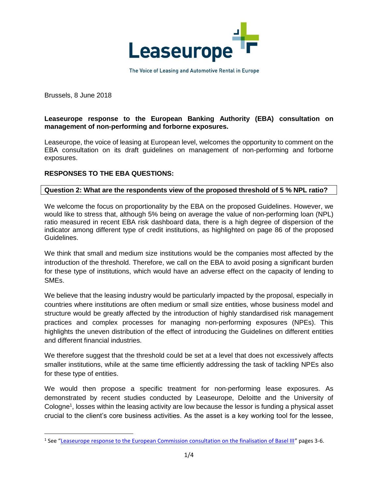

The Voice of Leasing and Automotive Rental in Europe

Brussels, 8 June 2018

 $\overline{a}$ 

### **Leaseurope response to the European Banking Authority (EBA) consultation on management of non-performing and forborne exposures.**

Leaseurope, the voice of leasing at European level, welcomes the opportunity to comment on the EBA consultation on its draft guidelines on management of non-performing and forborne exposures.

# **RESPONSES TO THE EBA QUESTIONS:**

#### **Question 2: What are the respondents view of the proposed threshold of 5 % NPL ratio?**

We welcome the focus on proportionality by the EBA on the proposed Guidelines. However, we would like to stress that, although 5% being on average the value of non-performing loan (NPL) ratio measured in recent EBA risk dashboard data, there is a high degree of dispersion of the indicator among different type of credit institutions, as highlighted on page 86 of the proposed Guidelines.

We think that small and medium size institutions would be the companies most affected by the introduction of the threshold. Therefore, we call on the EBA to avoid posing a significant burden for these type of institutions, which would have an adverse effect on the capacity of lending to SMEs.

We believe that the leasing industry would be particularly impacted by the proposal, especially in countries where institutions are often medium or small size entities, whose business model and structure would be greatly affected by the introduction of highly standardised risk management practices and complex processes for managing non-performing exposures (NPEs). This highlights the uneven distribution of the effect of introducing the Guidelines on different entities and different financial industries.

We therefore suggest that the threshold could be set at a level that does not excessively affects smaller institutions, while at the same time efficiently addressing the task of tackling NPEs also for these type of entities.

We would then propose a specific treatment for non-performing lease exposures. As demonstrated by recent studies conducted by Leaseurope, Deloitte and the University of Cologne<sup>1</sup>, losses within the leasing activity are low because the lessor is funding a physical asset crucial to the client's core business activities. As the asset is a key working tool for the lessee,

<sup>&</sup>lt;sup>1</sup> See "<u>[Leaseurope response to the European Commission consultation on the finalisation of Basel III](http://www.leaseurope.org/uploads/documents/PSC/pp180412_LEA_Basel%20IV.pdf)</u>" pages 3-6.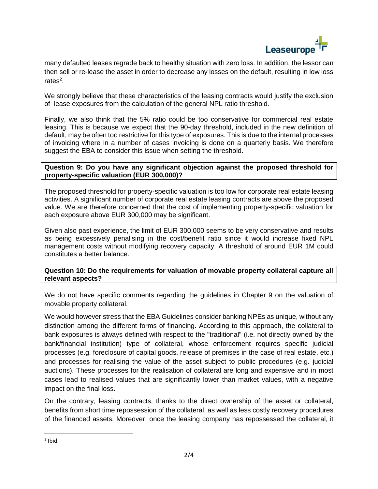

many defaulted leases regrade back to healthy situation with zero loss. In addition, the lessor can then sell or re-lease the asset in order to decrease any losses on the default, resulting in low loss rates<sup>2</sup>.

We strongly believe that these characteristics of the leasing contracts would justify the exclusion of lease exposures from the calculation of the general NPL ratio threshold.

Finally, we also think that the 5% ratio could be too conservative for commercial real estate leasing. This is because we expect that the 90-day threshold, included in the new definition of default, may be often too restrictive for this type of exposures. This is due to the internal processes of invoicing where in a number of cases invoicing is done on a quarterly basis. We therefore suggest the EBA to consider this issue when setting the threshold.

### **Question 9: Do you have any significant objection against the proposed threshold for property-specific valuation (EUR 300,000)?**

The proposed threshold for property-specific valuation is too low for corporate real estate leasing activities. A significant number of corporate real estate leasing contracts are above the proposed value. We are therefore concerned that the cost of implementing property-specific valuation for each exposure above EUR 300,000 may be significant.

Given also past experience, the limit of EUR 300,000 seems to be very conservative and results as being excessively penalising in the cost/benefit ratio since it would increase fixed NPL management costs without modifying recovery capacity. A threshold of around EUR 1M could constitutes a better balance.

### **Question 10: Do the requirements for valuation of movable property collateral capture all relevant aspects?**

We do not have specific comments regarding the guidelines in Chapter 9 on the valuation of movable property collateral.

We would however stress that the EBA Guidelines consider banking NPEs as unique, without any distinction among the different forms of financing. According to this approach, the collateral to bank exposures is always defined with respect to the "traditional" (i.e. not directly owned by the bank/financial institution) type of collateral, whose enforcement requires specific judicial processes (e.g. foreclosure of capital goods, release of premises in the case of real estate, etc.) and processes for realising the value of the asset subject to public procedures (e.g. judicial auctions). These processes for the realisation of collateral are long and expensive and in most cases lead to realised values that are significantly lower than market values, with a negative impact on the final loss.

On the contrary, leasing contracts, thanks to the direct ownership of the asset or collateral, benefits from short time repossession of the collateral, as well as less costly recovery procedures of the financed assets. Moreover, once the leasing company has repossessed the collateral, it

 $\overline{a}$ 

 $<sup>2</sup>$  Ibid.</sup>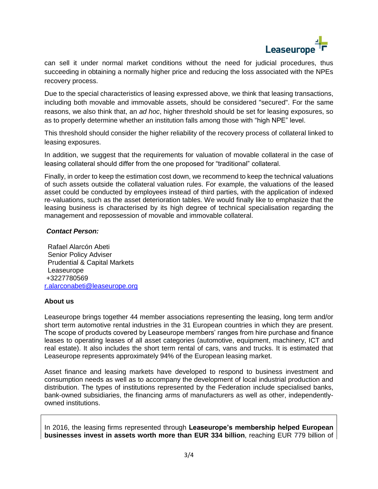

can sell it under normal market conditions without the need for judicial procedures, thus succeeding in obtaining a normally higher price and reducing the loss associated with the NPEs recovery process.

Due to the special characteristics of leasing expressed above, we think that leasing transactions, including both movable and immovable assets, should be considered "secured". For the same reasons, we also think that, an *ad hoc*, higher threshold should be set for leasing exposures, so as to properly determine whether an institution falls among those with "high NPE" level.

This threshold should consider the higher reliability of the recovery process of collateral linked to leasing exposures.

In addition, we suggest that the requirements for valuation of movable collateral in the case of leasing collateral should differ from the one proposed for "traditional" collateral.

Finally, in order to keep the estimation cost down, we recommend to keep the technical valuations of such assets outside the collateral valuation rules. For example, the valuations of the leased asset could be conducted by employees instead of third parties, with the application of indexed re-valuations, such as the asset deterioration tables. We would finally like to emphasize that the leasing business is characterised by its high degree of technical specialisation regarding the management and repossession of movable and immovable collateral.

# *Contact Person:*

Rafael Alarcón Abeti Senior Policy Adviser Prudential & Capital Markets Leaseurope +3227780569 [r.alarconabeti@leaseurope.org](mailto:r.alarconabeti@leaseurope.org)

#### **About us**

Leaseurope brings together 44 member associations representing the leasing, long term and/or short term automotive rental industries in the 31 European countries in which they are present. The scope of products covered by Leaseurope members' ranges from hire purchase and finance leases to operating leases of all asset categories (automotive, equipment, machinery, ICT and real estate). It also includes the short term rental of cars, vans and trucks. It is estimated that Leaseurope represents approximately 94% of the European leasing market.

Asset finance and leasing markets have developed to respond to business investment and consumption needs as well as to accompany the development of local industrial production and distribution. The types of institutions represented by the Federation include specialised banks, bank-owned subsidiaries, the financing arms of manufacturers as well as other, independentlyowned institutions.

In 2016, the leasing firms represented through **Leaseurope's membership helped European businesses invest in assets worth more than EUR 334 billion**, reaching EUR 779 billion of